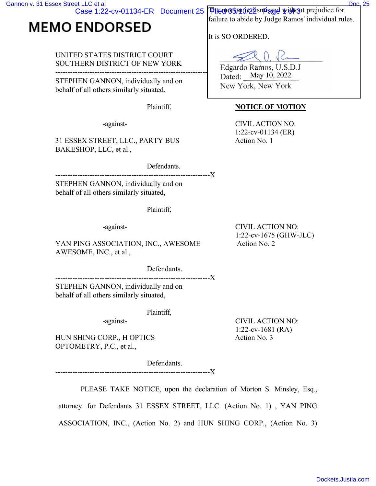Case 1:22-cv-01134-ER Document 25

## **MEMO ENDORSED**

## UNITED STATES DISTRICT COURT SOUTHERN DISTRICT OF NEW YORK

---------------------------------------------------------------X STEPHEN GANNON, individually and on behalf of all others similarly situated,

31 ESSEX STREET, LLC., PARTY BUS Action No. 1 BAKESHOP, LLC, et al.,

Defendants.

--------------------------------

STEPHEN GANNON, individually and on behalf of all others similarly situated,

Plaintiff,

YAN PING ASSOCIATION, INC., AWESOME Action No. 2 AWESOME, INC., et al.,

> Defendants. -------------------------------

STEPHEN GANNON, individually and on behalf of all others similarly situated,

Plaintiff,

HUN SHING CORP., H OPTICS Action No. 3 OPTOMETRY, P.C., et al.,

> Defendants. --------------X

The motion of a zaisning god with out prejudice for failure to abide by Judge Ramos' individual rules.

It is SO ORDERED.

Edgardo Ramos, U.S.D.J Dated: May 10, 2022 New York, New York

## Plaintiff, **NOTICE OF MOTION**

-against- CIVIL ACTION NO: 1:22-cv-01134 (ER)

-against- CIVIL ACTION NO: 1:22-cv-1675 (GHW-JLC)

-against- CIVIL ACTION NO: 1:22-cv-1681 (RA)

PLEASE TAKE NOTICE, upon the declaration of Morton S. Minsley, Esq.,

attorney for Defendants 31 ESSEX STREET, LLC. (Action No. 1) , YAN PING ASSOCIATION, INC., (Action No. 2) and HUN SHING CORP., (Action No. 3)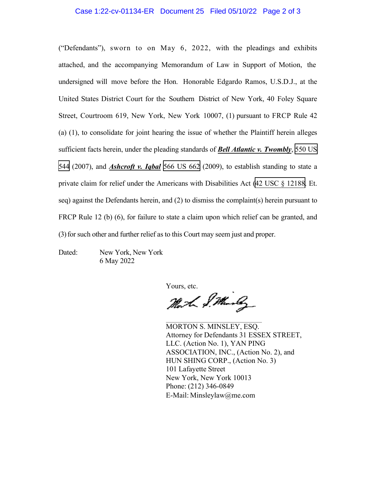## Case 1:22-cv-01134-ER Document 25 Filed 05/10/22 Page 2 of 3

("Defendants"), sworn to on May 6, 2022, with the pleadings and exhibits attached, and the accompanying Memorandum of Law in Support of Motion, the undersigned will move before the Hon. Honorable Edgardo Ramos, U.S.D.J., at the United States District Court for the Southern District of New York, 40 Foley Square Street, Courtroom 619, New York, New York 10007, (1) pursuant to FRCP Rule 42 (a) (1), to consolidate for joint hearing the issue of whether the Plaintiff herein alleges sufficient facts herein, under the pleading standards of *Bell Atlantic v. Twombly*, [550 US](http://scholar.google.com/scholar?q=550+us++544&btnG=&hl=en&as_sdt=6)  [544](http://scholar.google.com/scholar?q=550+us++544&btnG=&hl=en&as_sdt=6) (2007), and *Ashcroft v. Iqbal* [566 US 662](http://scholar.google.com/scholar?q=566+us+662&btnG=&hl=en&as_sdt=6) (2009), to establish standing to state a private claim for relief under the Americans with Disabilities Act ([42 USC § 12188.](http://www.google.com/search?q=42+usc++12188) Et. seq) against the Defendants herein, and (2) to dismiss the complaint(s) herein pursuant to FRCP Rule 12 (b) (6), for failure to state a claim upon which relief can be granted, and (3)for such other and further relief as to this Court may seem just and proper.

Dated: New York, New York 6 May 2022

Yours, etc.

Mort S. Marly

MORTON S. MINSLEY, ESQ. Attorney for Defendants 31 ESSEX STREET, LLC. (Action No. 1), YAN PING ASSOCIATION, INC., (Action No. 2), and HUN SHING CORP., (Action No. 3) 101 Lafayette Street New York, New York 10013 Phone: (212) 346-0849 E-Mail: Minsleylaw@me.com